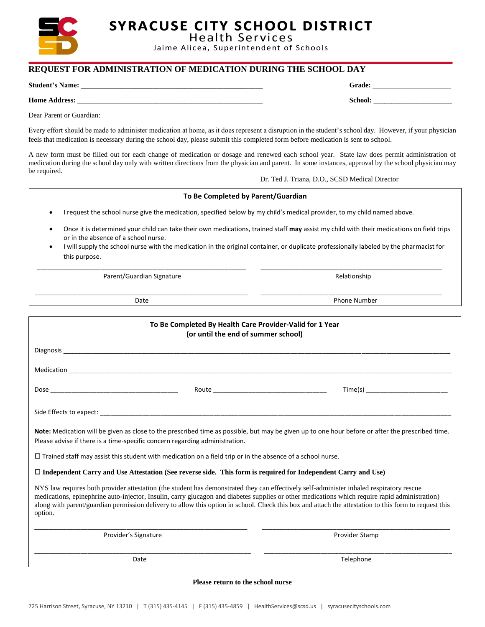

**SYRACUSE CITY SCHOOL DISTRICT** 

**Health Services** Jaime Alicea, Superintendent of Schools

### **REQUEST FOR ADMINISTRATION OF MEDICATION DURING THE SCHOOL DAY**

**Student's Name: \_\_\_\_\_\_\_\_\_\_\_\_\_\_\_\_\_\_\_\_\_\_\_\_\_\_\_\_\_\_\_\_\_\_\_\_\_\_\_\_\_\_\_\_\_\_\_\_\_\_\_ Grade: \_\_\_\_\_\_\_\_\_\_\_\_\_\_\_\_\_\_\_\_\_\_**

**Home Address:** School: **and a state of the state of the state of the state of the state of the state of the state of the state of the state of the state of the state of the state of the state of the state of the state of** 

Dear Parent or Guardian:

Every effort should be made to administer medication at home, as it does represent a disruption in the student's school day. However, if your physician feels that medication is necessary during the school day, please submit this completed form before medication is sent to school.

A new form must be filled out for each change of medication or dosage and renewed each school year. State law does permit administration of medication during the school day only with written directions from the physician and parent. In some instances, approval by the school physician may be required.

#### Dr. Ted J. Triana, D.O., SCSD Medical Director

| To Be Completed by Parent/Guardian                                                                                                                                                                                                                                                                                                                                                                                                                             |                  |  |
|----------------------------------------------------------------------------------------------------------------------------------------------------------------------------------------------------------------------------------------------------------------------------------------------------------------------------------------------------------------------------------------------------------------------------------------------------------------|------------------|--|
| I request the school nurse give the medication, specified below by my child's medical provider, to my child named above.<br>$\bullet$                                                                                                                                                                                                                                                                                                                          |                  |  |
| Once it is determined your child can take their own medications, trained staff may assist my child with their medications on field trips<br>$\bullet$<br>or in the absence of a school nurse.<br>I will supply the school nurse with the medication in the original container, or duplicate professionally labeled by the pharmacist for<br>$\bullet$<br>this purpose.                                                                                         |                  |  |
| Parent/Guardian Signature                                                                                                                                                                                                                                                                                                                                                                                                                                      | Relationship     |  |
| Date                                                                                                                                                                                                                                                                                                                                                                                                                                                           | Phone Number     |  |
| To Be Completed By Health Care Provider-Valid for 1 Year<br>(or until the end of summer school)                                                                                                                                                                                                                                                                                                                                                                |                  |  |
| Diagnosis and the contract of the contract of the contract of the contract of the contract of the contract of the contract of the contract of the contract of the contract of the contract of the contract of the contract of                                                                                                                                                                                                                                  |                  |  |
|                                                                                                                                                                                                                                                                                                                                                                                                                                                                |                  |  |
| Dose and the contract of the contract of the contract of the contract of the contract of the contract of the contract of the contract of the contract of the contract of the contract of the contract of the contract of the c                                                                                                                                                                                                                                 | Time(s)<br>Route |  |
|                                                                                                                                                                                                                                                                                                                                                                                                                                                                |                  |  |
| Note: Medication will be given as close to the prescribed time as possible, but may be given up to one hour before or after the prescribed time.<br>Please advise if there is a time-specific concern regarding administration.                                                                                                                                                                                                                                |                  |  |
| $\Box$ Trained staff may assist this student with medication on a field trip or in the absence of a school nurse.                                                                                                                                                                                                                                                                                                                                              |                  |  |
| □ Independent Carry and Use Attestation (See reverse side. This form is required for Independent Carry and Use)                                                                                                                                                                                                                                                                                                                                                |                  |  |
| NYS law requires both provider attestation (the student has demonstrated they can effectively self-administer inhaled respiratory rescue<br>medications, epinephrine auto-injector, Insulin, carry glucagon and diabetes supplies or other medications which require rapid administration)<br>along with parent/guardian permission delivery to allow this option in school. Check this box and attach the attestation to this form to request this<br>option. |                  |  |
| Provider's Signature                                                                                                                                                                                                                                                                                                                                                                                                                                           | Provider Stamp   |  |
| Date                                                                                                                                                                                                                                                                                                                                                                                                                                                           | Telephone        |  |

#### **Please return to the school nurse**